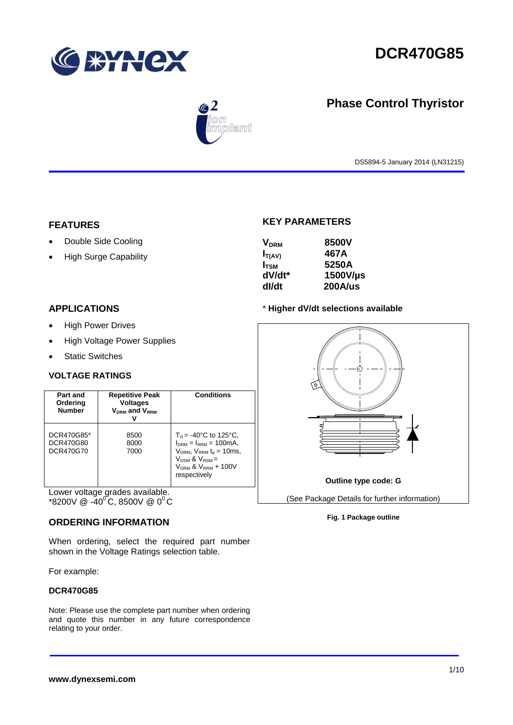

# **DCR470G85**



**Phase Control Thyristor**

DS5894-5 January 2014 (LN31215)

# **FEATURES**

- Double Side Cooling
- High Surge Capability

# **KEY PARAMETERS**

| <b>V<sub>DRM</sub></b> | 8500V    |
|------------------------|----------|
| $I_{T(AV)}$            | 467A     |
| $I_{TSM}$              | 5250A    |
| dV/dt*                 | 1500V/µs |
| dl/dt                  | 200A/us  |

# **APPLICATIONS**

- High Power Drives
- High Voltage Power Supplies
- Static Switches

# **VOLTAGE RATINGS**

| Part and<br>Ordering<br><b>Number</b> | <b>Repetitive Peak</b><br><b>Voltages</b><br>$V_{DRM}$ and $V_{RRM}$ | <b>Conditions</b>                                                                                                                                                                   |
|---------------------------------------|----------------------------------------------------------------------|-------------------------------------------------------------------------------------------------------------------------------------------------------------------------------------|
| DCR470G85*<br>DCR470G80<br>DCR470G70  | 8500<br>8000<br>7000                                                 | $T_{\rm vi}$ = -40°C to 125°C,<br>$IDRM = IRRM = 100mA,$<br>$V_{DRM}$ , $V_{RRM}$ t <sub>p</sub> = 10ms,<br>$V_{DSM}$ & $V_{RSM}$ =<br>$V_{DRM}$ & $V_{RRM}$ + 100V<br>respectively |

Lower voltage grades available.  $*8200V \ @ \ -40^{\circ}C, 8500V \ @ \ 0^{\circ}C$ 

## **ORDERING INFORMATION**

When ordering, select the required part number shown in the Voltage Ratings selection table.

For example:

## **DCR470G85**

Note: Please use the complete part number when ordering and quote this number in any future correspondence relating to your order.

# \* **Higher dV/dt selections available**



### **Fig. 1 Package outline**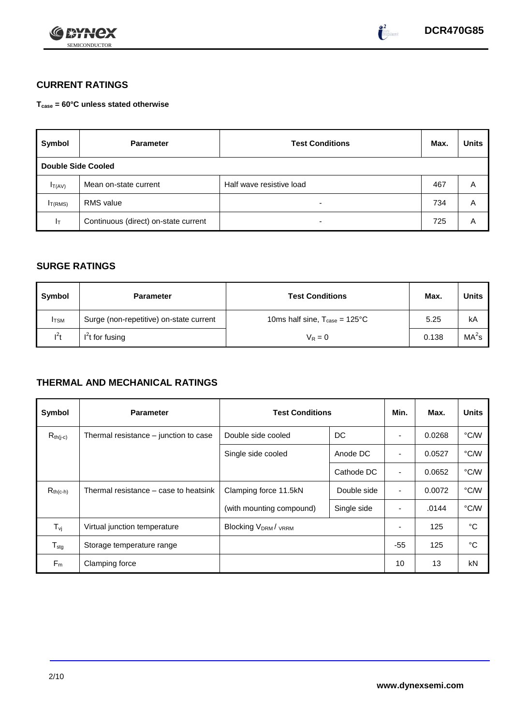



# **CURRENT RATINGS**

**Tcase = 60°C unless stated otherwise**

| Symbol              | <b>Parameter</b>                     | <b>Test Conditions</b>   | Max. | <b>Units</b> |  |  |  |  |  |  |
|---------------------|--------------------------------------|--------------------------|------|--------------|--|--|--|--|--|--|
|                     | <b>Double Side Cooled</b>            |                          |      |              |  |  |  |  |  |  |
| $I_{T(AV)}$         | Mean on-state current                | Half wave resistive load | 467  | Α            |  |  |  |  |  |  |
| I <sub>T(RMS)</sub> | <b>RMS</b> value                     | $\overline{\phantom{0}}$ | 734  | A            |  |  |  |  |  |  |
| $I_T$               | Continuous (direct) on-state current | $\overline{\phantom{a}}$ | 725  | Α            |  |  |  |  |  |  |

# **SURGE RATINGS**

| Symbol       | <b>Parameter</b>                        | <b>Test Conditions</b>                           | Max.  | <b>Units</b>      |
|--------------|-----------------------------------------|--------------------------------------------------|-------|-------------------|
| <b>I</b> TSM | Surge (non-repetitive) on-state current | 10ms half sine, $T_{\text{case}} = 125^{\circ}C$ | 5.25  | kA                |
| $I^2t$       | $I2t$ for fusing                        | $V_R = 0$                                        | 0.138 | MA <sup>2</sup> s |

# **THERMAL AND MECHANICAL RATINGS**

| Symbol                         | <b>Parameter</b>                      | <b>Test Conditions</b>               | Min.        | Max.           | <b>Units</b> |      |
|--------------------------------|---------------------------------------|--------------------------------------|-------------|----------------|--------------|------|
| $R_{th(j-c)}$                  | Thermal resistance – junction to case | Double side cooled                   | DC          |                | 0.0268       | °C/W |
|                                |                                       | Single side cooled                   | Anode DC    | ٠              | 0.0527       | °C/W |
|                                |                                       |                                      | Cathode DC  | $\blacksquare$ | 0.0652       | °C/W |
| $R_{th(c-h)}$                  | Thermal resistance – case to heatsink | Double side<br>Clamping force 11.5kN |             | $\blacksquare$ | 0.0072       | °C/W |
|                                |                                       | (with mounting compound)             | Single side |                | .0144        | °C/W |
| $T_{\rm\scriptscriptstyle VI}$ | Virtual junction temperature          | <b>Blocking VDRM/VRRM</b>            |             |                | 125          | °C   |
| ${\mathsf T}_{\text{stg}}$     | Storage temperature range             |                                      |             | $-55$          | 125          | °C   |
| $F_m$                          | Clamping force                        |                                      |             | 10             | 13           | kN   |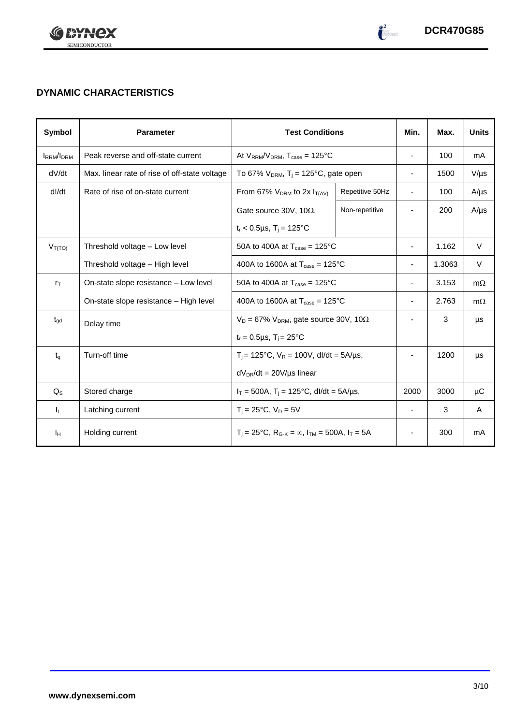



 $\frac{2}{\log\left(1-\frac{1}{2}\right)}$ 

# **DYNAMIC CHARACTERISTICS**

| Symbol            | <b>Parameter</b>                              |                                                                         | <b>Test Conditions</b>   |                          |           | <b>Units</b> |
|-------------------|-----------------------------------------------|-------------------------------------------------------------------------|--------------------------|--------------------------|-----------|--------------|
| <b>IRRM</b> /IDRM | Peak reverse and off-state current            | At $V_{RRM}/V_{DRM}$ , $T_{case} = 125^{\circ}C$                        |                          | $\blacksquare$           | 100       | mA           |
| dV/dt             | Max. linear rate of rise of off-state voltage | To 67% $V_{DRM}$ , T <sub>i</sub> = 125°C, gate open                    |                          | $\blacksquare$           | 1500      | $V/\mu s$    |
| dl/dt             | Rate of rise of on-state current              | From 67% $V_{DRM}$ to 2x $I_{T(AV)}$                                    | Repetitive 50Hz          | $\blacksquare$           | 100       | $A/\mu s$    |
|                   |                                               | Gate source 30V, 10 $\Omega$ ,                                          | Non-repetitive           |                          | 200       | $A/\mu s$    |
|                   |                                               | $t_r < 0.5 \mu s$ , $T_i = 125$ °C                                      |                          |                          |           |              |
| $V_{T(TO)}$       | Threshold voltage - Low level                 | 50A to 400A at $T_{\text{case}} = 125^{\circ}$ C                        |                          |                          | 1.162     | V            |
|                   | Threshold voltage - High level                | 400A to 1600A at $T_{\text{case}} = 125^{\circ}$ C                      |                          | 1.3063                   | $\vee$    |              |
| $r_{\text{T}}$    | On-state slope resistance - Low level         | 50A to 400A at $T_{\text{case}} = 125^{\circ}$ C                        | $\overline{\phantom{a}}$ | 3.153                    | $m\Omega$ |              |
|                   | On-state slope resistance - High level        | 400A to 1600A at $T_{\text{case}} = 125^{\circ}$ C                      | $\overline{\phantom{a}}$ | 2.763                    | $m\Omega$ |              |
| $t_{\text{qd}}$   | Delay time                                    | $V_D = 67\% V_{DRM}$ , gate source 30V, 10 $\Omega$                     |                          |                          | 3         | μs           |
|                   |                                               | $t_r = 0.5 \mu s$ , $T_i = 25^{\circ}C$                                 |                          |                          |           |              |
| $t_{q}$           | Turn-off time                                 | $T_i$ = 125°C, $V_R$ = 100V, dl/dt = 5A/µs,                             |                          |                          | 1200      | μs           |
|                   |                                               | $dV_{DR}/dt = 20V/\mu s$ linear                                         |                          |                          |           |              |
| $Q_{S}$           | Stored charge                                 | $I_T = 500A$ , $T_i = 125^{\circ}C$ , dl/dt = 5A/µs,                    | 2000                     | 3000                     | μC        |              |
| ΙL.               | Latching current                              | $T_i = 25^{\circ}C$ , $V_D = 5V$                                        | $\overline{\phantom{a}}$ | 3                        | A         |              |
| Iн                | Holding current                               | $T_i = 25^{\circ}C$ , $R_{G-K} = \infty$ , $I_{TM} = 500A$ , $I_T = 5A$ |                          | $\overline{\phantom{a}}$ | 300       | mA           |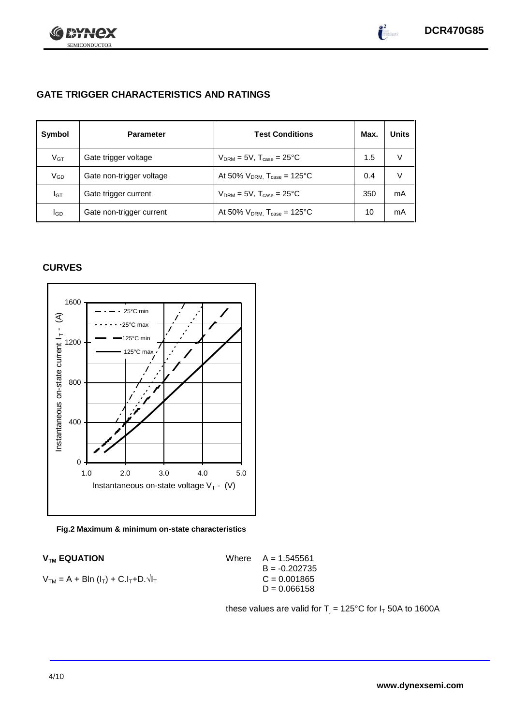

 $\int_{0}^{\infty}$ 

# **GATE TRIGGER CHARACTERISTICS AND RATINGS**

| Symbol          | <b>Parameter</b>         | <b>Test Conditions</b>                       | Max. | <b>Units</b> |
|-----------------|--------------------------|----------------------------------------------|------|--------------|
| $V_{\text{GT}}$ | Gate trigger voltage     | $V_{DRM}$ = 5V, $T_{case}$ = 25°C            | 1.5  | V            |
| VGD             | Gate non-trigger voltage | At 50% $V_{DRM}$ , $T_{case} = 125^{\circ}C$ | 0.4  | V            |
| IGТ             | Gate trigger current     | $V_{DRM}$ = 5V, $T_{case}$ = 25°C            | 350  | mA           |
| lgp             | Gate non-trigger current | At 50% $V_{DRM}$ , $T_{case} = 125$ °C       | 10   | mA           |

# **CURVES**



### **Fig.2 Maximum & minimum on-state characteristics**

|  |  | $V_{TM} = A + Bln (I_T) + C.I_T + D.\sqrt{I_T}$ |
|--|--|-------------------------------------------------|
|--|--|-------------------------------------------------|

 $V_{TM}$  **EQUATION** Where  $A = 1.545561$  $B = -0.202735$  $C = 0.001865$  $D = 0.066158$ 

these values are valid for  $T_j = 125^{\circ}C$  for  $I_T$  50A to 1600A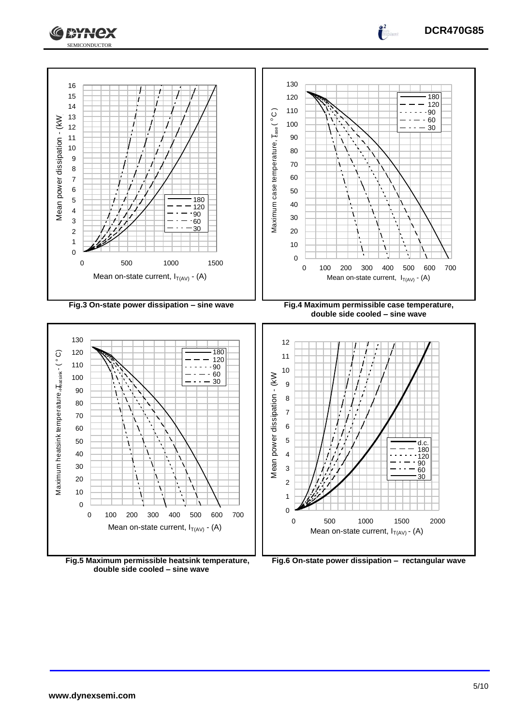



**double side cooled – sine wave**

**DCR470G85**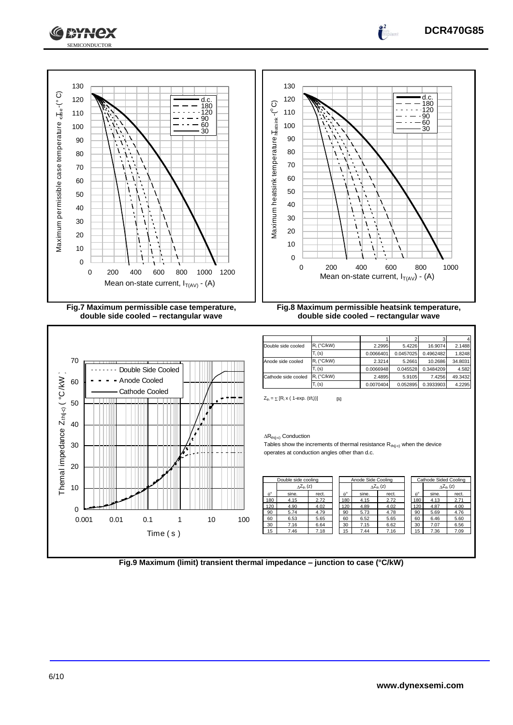



**double side cooled – rectangular wave**



**double side cooled – rectangular wave**

| Double side cooled  | $R_i$ (°C/kW) | 2.2995    | 5.4226    | 16.9074   | 2.1488  |
|---------------------|---------------|-----------|-----------|-----------|---------|
|                     | $T_i$ (s)     | 0.0066401 | 0.0457025 | 0.4962482 | 1.8248  |
| Anode side cooled   | $R_i$ (°C/kW) | 2.3214    | 5.2661    | 10.2686   | 34.8031 |
|                     | $T_i(s)$      | 0.0066948 | 0.045528  | 0.3484209 | 4.582   |
| Cathode side cooled | $R_i$ (°C/kW) | 2.4895    | 5.9105    | 7.4256    | 49.3432 |
|                     | $T_i(s)$      | 0.0070404 | 0.052895  | 0.3933903 | 4.2295  |

 $Z_{\text{th}} = \sum [R_i \times (1-\exp. (t/t_i))]$  [1]

### $\Delta R_{th(j\text{-}c)}$  Conduction

Tables show the increments of thermal resistance  $R_{th(i-c)}$  when the device operates at conduction angles other than d.c.

| Double side cooling |                            |       | Anode Side Cooling |       |                           | Cathode Sided Cooling |                |       |                     |
|---------------------|----------------------------|-------|--------------------|-------|---------------------------|-----------------------|----------------|-------|---------------------|
|                     | $\Delta Z_{\text{th}}$ (z) |       |                    |       | $\Delta Z_{\text{th}}(z)$ |                       |                |       | $\Delta Z_{th}$ (z) |
| $\rho^{\circ}$      | sine.                      | rect. | $\rho^{\circ}$     | sine. | rect.                     |                       | $\rho^{\circ}$ | sine. | rect.               |
| 180                 | 4.15                       | 2.72  | 180                | 4.15  | 2.72                      |                       | 180            | 4.13  | 2.71                |
| 120                 | 4.90                       | 4.02  | 120                | 4.89  | 4.02                      |                       | 120            | 4.87  | 4.00                |
| 90                  | 5.74                       | 4.79  | 90                 | 5.73  | 4.78                      |                       | 90             | 5.69  | 4.76                |
| 60                  | 6.53                       | 5.65  | 60                 | 6.52  | 5.65                      |                       | 60             | 6.46  | 5.60                |
| 30                  | 7.16                       | 6.64  | 30                 | 7.15  | 6.62                      |                       | 30             | 7.07  | 6.56                |
| 15                  | 7.46                       | 7.18  | 15                 | 7.44  | 7.16                      |                       | 15             | 7.36  | 7.09                |
|                     |                            |       |                    |       |                           |                       |                |       |                     |

|                  | Double side cooling       |       | Anode Side Cooling |       |                           | Cathode Sided Cooling |       |                     |
|------------------|---------------------------|-------|--------------------|-------|---------------------------|-----------------------|-------|---------------------|
|                  | $\Delta Z_{\text{th}}(z)$ |       |                    |       | $\Delta Z_{\text{th}}(z)$ |                       |       | $\Delta Z_{th}$ (z) |
| $\theta^{\circ}$ | sine.                     | rect. | $\rho^{\circ}$     | sine. | rect.                     | $\rho^{\circ}$        | sine. | rect.               |
| 180              | 4.15                      | 2.72  | 180                | 4.15  | 2.72                      | 180                   | 4.13  | 2.71                |
| 120              | 4.90                      | 4.02  | 120                | 4.89  | 4.02                      | 120                   | 4.87  | 4.00                |
| 90               | 5.74                      | 4.79  | 90                 | 5.73  | 4.78                      | 90                    | 5.69  | 4.76                |
| 60               | 6.53                      | 5.65  | 60                 | 6.52  | 5.65                      | 60                    | 6.46  | 5.60                |
| 30               | 7.16                      | 6.64  | 30                 | 7.15  | 6.62                      | 30                    | 7.07  | 6.56                |
| 15               | 7.46                      | 7.18  | 5                  | 7.44  | 7.16                      | 15                    | 7.36  | 7.09                |
|                  |                           |       |                    |       |                           |                       |       |                     |

**Fig.9 Maximum (limit) transient thermal impedance – junction to case (°C/kW)**

**DCR470G85**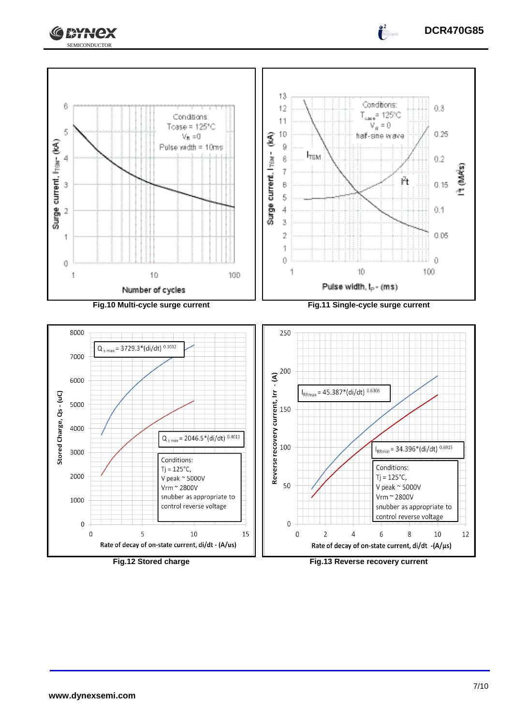



 $\overline{0}$ 

 $\overline{0}$ 

 $\overline{2}$ 

15

5 10 Rate of decay of on-state current, di/dt - (A/us)

**Fig.12 Stored charge Fig.13 Reverse recovery current**

6

Rate of decay of on-state current, di/dt -(A/µs)

8

10

12

 $\overline{4}$ 

 $\mathsf 0$  $\overline{0}$  **DCR470G85**

 $\frac{2}{\pi}$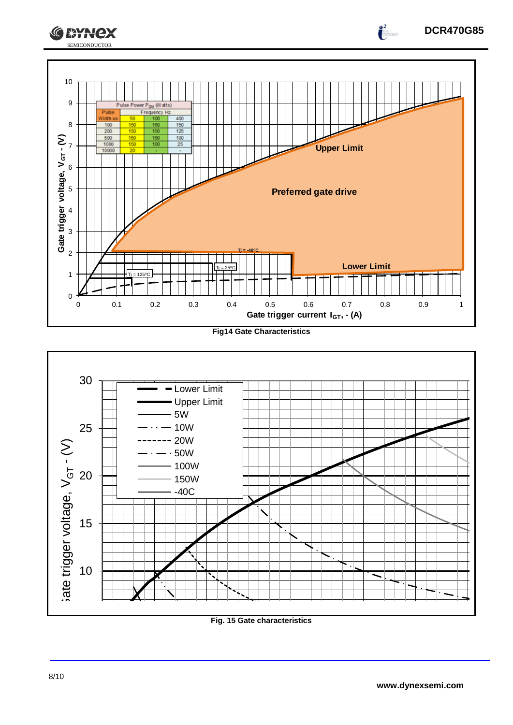



**Fig. 15 Gate characteristics**

0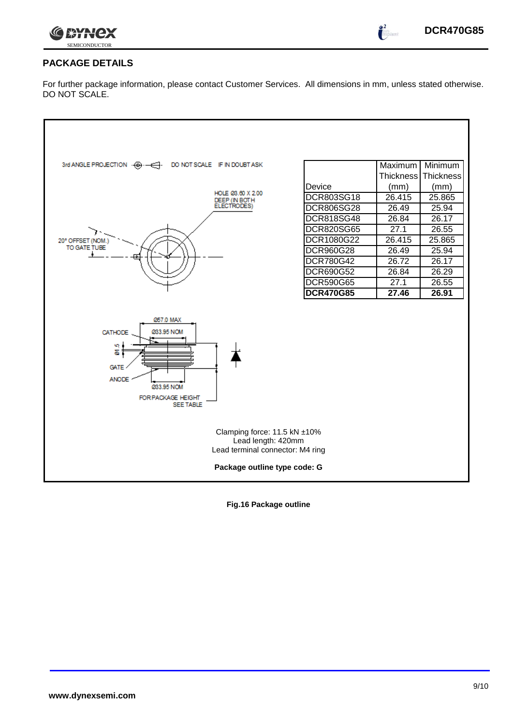

 $\int_{0}^{\infty}$ 

# **PACKAGE DETAILS**

For further package information, please contact Customer Services. All dimensions in mm, unless stated otherwise. DO NOT SCALE.

| DO NOT SCALE IF IN DOUBT ASK<br>3rd ANGLE PROJECTION $\cdot \overline{\Theta} \cdot \overline{\phantom{A}}$                                 |                   | Maximum          | Minimum   |  |  |  |  |  |
|---------------------------------------------------------------------------------------------------------------------------------------------|-------------------|------------------|-----------|--|--|--|--|--|
|                                                                                                                                             |                   | <b>Thickness</b> | Thickness |  |  |  |  |  |
| HOLE 03.60 X 2.00                                                                                                                           | Device            | (mm)             | (mm)      |  |  |  |  |  |
| DEEP (IN BOTH                                                                                                                               | DCR803SG18        | 26.415           | 25.865    |  |  |  |  |  |
| ELECTRODES)                                                                                                                                 | <b>DCR806SG28</b> | 26.49            | 25.94     |  |  |  |  |  |
|                                                                                                                                             | <b>DCR818SG48</b> | 26.84            | 26.17     |  |  |  |  |  |
|                                                                                                                                             | <b>DCR820SG65</b> | 27.1             | 26.55     |  |  |  |  |  |
| 20° OFFSET (NOM.)                                                                                                                           | DCR1080G22        | 26.415           | 25.865    |  |  |  |  |  |
| TO GATE TUBE                                                                                                                                | DCR960G28         | 26.49            | 25.94     |  |  |  |  |  |
|                                                                                                                                             | DCR780G42         | 26.72            | 26.17     |  |  |  |  |  |
|                                                                                                                                             | DCR690G52         | 26.84            | 26.29     |  |  |  |  |  |
|                                                                                                                                             | <b>DCR590G65</b>  | 27.1             | 26.55     |  |  |  |  |  |
|                                                                                                                                             | <b>DCR470G85</b>  | 27.46            | 26.91     |  |  |  |  |  |
| <b>057.0 MAX</b><br>033.95 NOM<br>CATHODE<br>Ψą<br>5<br><b>GATE</b><br><b>ANODE</b><br>033.95 NOM<br>FOR PACKAGE HEIGHT<br><b>SEE TABLE</b> |                   |                  |           |  |  |  |  |  |
| Clamping force: 11.5 kN ±10%<br>Lead length: 420mm<br>Lead terminal connector: M4 ring                                                      |                   |                  |           |  |  |  |  |  |
| Package outline type code: G                                                                                                                |                   |                  |           |  |  |  |  |  |

**Fig.16 Package outline**